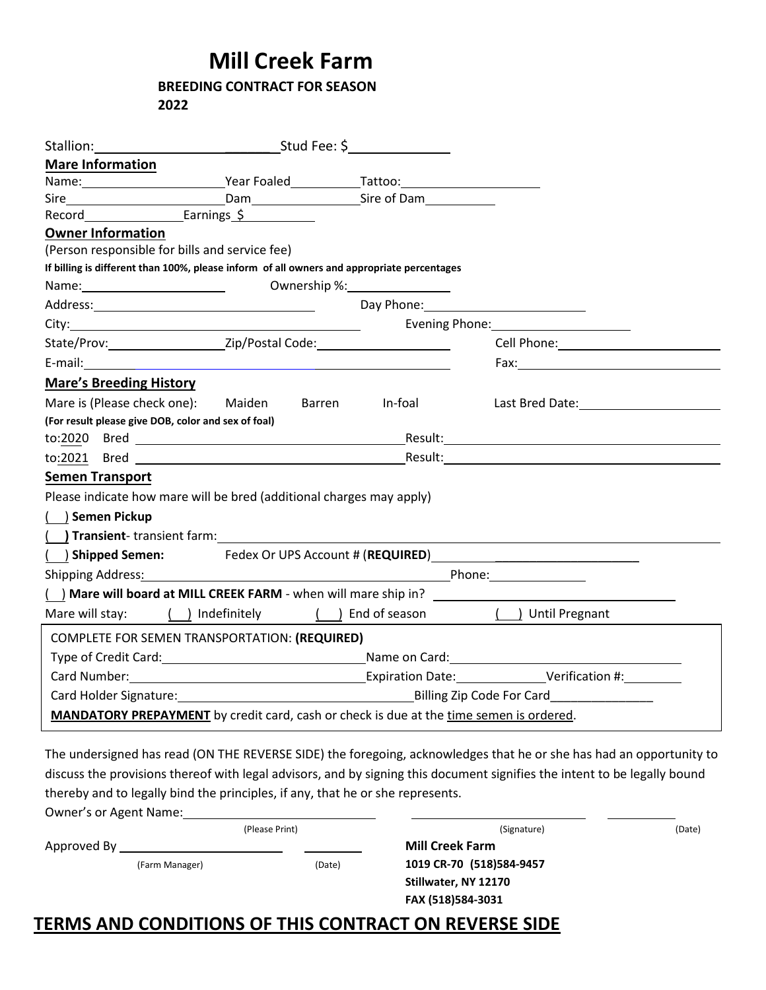## **Mill Creek Farm**

## **BREEDING CONTRACT FOR SEASON 2022**

|                                                                                                                                                                                                                               | Stud Fee: \$________________                                                                                    |                                                                                                                                                                                                                                |                                                                                                                                                                                                                                |  |  |
|-------------------------------------------------------------------------------------------------------------------------------------------------------------------------------------------------------------------------------|-----------------------------------------------------------------------------------------------------------------|--------------------------------------------------------------------------------------------------------------------------------------------------------------------------------------------------------------------------------|--------------------------------------------------------------------------------------------------------------------------------------------------------------------------------------------------------------------------------|--|--|
| <b>Mare Information</b>                                                                                                                                                                                                       |                                                                                                                 |                                                                                                                                                                                                                                |                                                                                                                                                                                                                                |  |  |
| Name: Name Pear Foaled Manual Manual Manual Manual Manual Manual Manual Manual Manual Manual Manual Manual Manu                                                                                                               |                                                                                                                 |                                                                                                                                                                                                                                |                                                                                                                                                                                                                                |  |  |
|                                                                                                                                                                                                                               |                                                                                                                 | Dam Electron Company Sire of Dam Electron Company Sire of Dam Electron Company Sire of Dam Electron Company Sire of Dam Electron Company Sire of Dam Electron Company Sire of Dam Electron Company Sire of Dam Electron Compan |                                                                                                                                                                                                                                |  |  |
|                                                                                                                                                                                                                               | Earnings $\zeta$                                                                                                |                                                                                                                                                                                                                                |                                                                                                                                                                                                                                |  |  |
| <b>Owner Information</b>                                                                                                                                                                                                      |                                                                                                                 |                                                                                                                                                                                                                                |                                                                                                                                                                                                                                |  |  |
| (Person responsible for bills and service fee)                                                                                                                                                                                |                                                                                                                 |                                                                                                                                                                                                                                |                                                                                                                                                                                                                                |  |  |
| If billing is different than 100%, please inform of all owners and appropriate percentages                                                                                                                                    |                                                                                                                 |                                                                                                                                                                                                                                |                                                                                                                                                                                                                                |  |  |
|                                                                                                                                                                                                                               |                                                                                                                 | Ownership %: New York 2014                                                                                                                                                                                                     |                                                                                                                                                                                                                                |  |  |
|                                                                                                                                                                                                                               |                                                                                                                 | Day Phone:                                                                                                                                                                                                                     |                                                                                                                                                                                                                                |  |  |
|                                                                                                                                                                                                                               |                                                                                                                 |                                                                                                                                                                                                                                |                                                                                                                                                                                                                                |  |  |
|                                                                                                                                                                                                                               |                                                                                                                 |                                                                                                                                                                                                                                | Cell Phone: The Contract of the Contract of the Contract of the Contract of the Contract of the Contract of the Contract of the Contract of the Contract of the Contract of the Contract of the Contract of the Contract of th |  |  |
|                                                                                                                                                                                                                               |                                                                                                                 |                                                                                                                                                                                                                                |                                                                                                                                                                                                                                |  |  |
| <b>Mare's Breeding History</b>                                                                                                                                                                                                |                                                                                                                 |                                                                                                                                                                                                                                |                                                                                                                                                                                                                                |  |  |
| Mare is (Please check one): Maiden                                                                                                                                                                                            |                                                                                                                 | Barren<br><b>In-foal</b>                                                                                                                                                                                                       | Last Bred Date: The State of the State of the State of the State of the State of the State of the State of the                                                                                                                 |  |  |
| (For result please give DOB, color and sex of foal)                                                                                                                                                                           |                                                                                                                 |                                                                                                                                                                                                                                |                                                                                                                                                                                                                                |  |  |
|                                                                                                                                                                                                                               |                                                                                                                 |                                                                                                                                                                                                                                |                                                                                                                                                                                                                                |  |  |
|                                                                                                                                                                                                                               | to:2021 Bred and the state of the state of the state of the state of the state of the state of the state of the |                                                                                                                                                                                                                                |                                                                                                                                                                                                                                |  |  |
| <b>Semen Transport</b>                                                                                                                                                                                                        |                                                                                                                 |                                                                                                                                                                                                                                |                                                                                                                                                                                                                                |  |  |
| Please indicate how mare will be bred (additional charges may apply)                                                                                                                                                          |                                                                                                                 |                                                                                                                                                                                                                                |                                                                                                                                                                                                                                |  |  |
| ( ) Semen Pickup                                                                                                                                                                                                              |                                                                                                                 |                                                                                                                                                                                                                                |                                                                                                                                                                                                                                |  |  |
| (a) Transient-transient farm: The Contract of the Contract of the Contract of the Contract of the Contract of the Contract of the Contract of the Contract of the Contract of the Contract of the Contract of the Contract of |                                                                                                                 |                                                                                                                                                                                                                                |                                                                                                                                                                                                                                |  |  |
|                                                                                                                                                                                                                               |                                                                                                                 |                                                                                                                                                                                                                                | () Shipped Semen: Fedex Or UPS Account # (REQUIRED)                                                                                                                                                                            |  |  |
| Shipping Address <u>:</u> Andreas Address: All and Address: All and Address: All and Address: All and Address: All and A                                                                                                      |                                                                                                                 |                                                                                                                                                                                                                                |                                                                                                                                                                                                                                |  |  |
|                                                                                                                                                                                                                               |                                                                                                                 |                                                                                                                                                                                                                                |                                                                                                                                                                                                                                |  |  |
|                                                                                                                                                                                                                               |                                                                                                                 |                                                                                                                                                                                                                                | Mare will stay: $( )$ Indefinitely $( )$ End of season $( )$ Until Pregnant                                                                                                                                                    |  |  |
| COMPLETE FOR SEMEN TRANSPORTATION: (REQUIRED)                                                                                                                                                                                 |                                                                                                                 |                                                                                                                                                                                                                                |                                                                                                                                                                                                                                |  |  |
|                                                                                                                                                                                                                               |                                                                                                                 |                                                                                                                                                                                                                                | Type of Credit Card: Type of Credit Card: Type of Credit Card:                                                                                                                                                                 |  |  |
|                                                                                                                                                                                                                               |                                                                                                                 |                                                                                                                                                                                                                                |                                                                                                                                                                                                                                |  |  |
|                                                                                                                                                                                                                               | Card Holder Signature: Card Holder Signature: Card Holder Signature: Card Billing Zip Code For Card             |                                                                                                                                                                                                                                |                                                                                                                                                                                                                                |  |  |
| MANDATORY PREPAYMENT by credit card, cash or check is due at the time semen is ordered.                                                                                                                                       |                                                                                                                 |                                                                                                                                                                                                                                |                                                                                                                                                                                                                                |  |  |
|                                                                                                                                                                                                                               |                                                                                                                 |                                                                                                                                                                                                                                |                                                                                                                                                                                                                                |  |  |

The undersigned has read (ON THE REVERSE SIDE) the foregoing, acknowledges that he or she has had an opportunity to discuss the provisions thereof with legal advisors, and by signing this document signifies the intent to be legally bound thereby and to legally bind the principles, if any, that he or she represents.

| Owner's or Agent Name: |        |                          |        |
|------------------------|--------|--------------------------|--------|
| (Please Print)         |        | (Signature)              | (Date) |
| Approved By            |        | <b>Mill Creek Farm</b>   |        |
| (Farm Manager)         | (Date) | 1019 CR-70 (518)584-9457 |        |
|                        |        | Stillwater, NY 12170     |        |
|                        |        | FAX (518)584-3031        |        |

## **TERMS AND CONDITIONS OF THIS CONTRACT ON REVERSE SIDE**